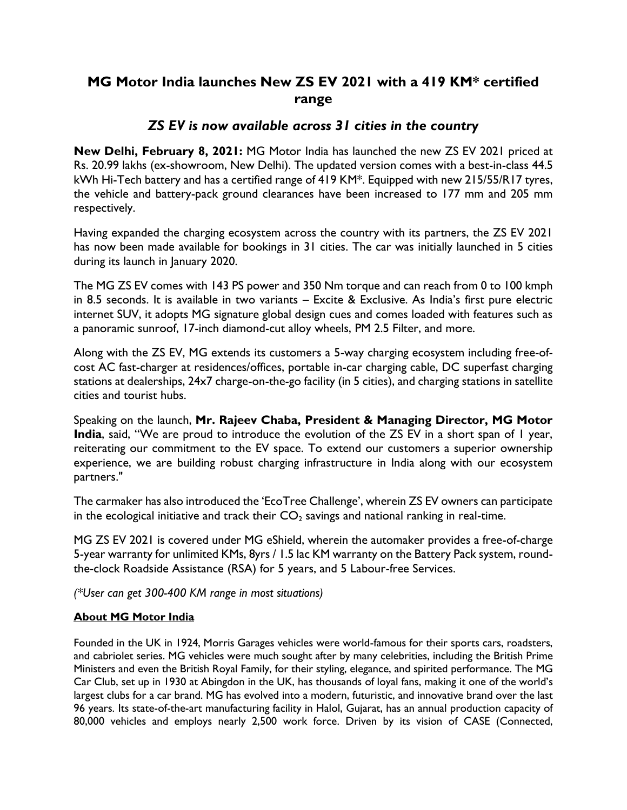## **MG Motor India launches New ZS EV 2021 with a 419 KM\* certified range**

## *ZS EV is now available across 31 cities in the country*

**New Delhi, February 8, 2021:** MG Motor India has launched the new ZS EV 2021 priced at Rs. 20.99 lakhs (ex-showroom, New Delhi). The updated version comes with a best-in-class 44.5 kWh Hi-Tech battery and has a certified range of 419 KM\*. Equipped with new 215/55/R17 tyres, the vehicle and battery-pack ground clearances have been increased to 177 mm and 205 mm respectively.

Having expanded the charging ecosystem across the country with its partners, the ZS EV 2021 has now been made available for bookings in 31 cities. The car was initially launched in 5 cities during its launch in January 2020.

The MG ZS EV comes with 143 PS power and 350 Nm torque and can reach from 0 to 100 kmph in 8.5 seconds. It is available in two variants – Excite & Exclusive. As India's first pure electric internet SUV, it adopts MG signature global design cues and comes loaded with features such as a panoramic sunroof, 17-inch diamond-cut alloy wheels, PM 2.5 Filter, and more.

Along with the ZS EV, MG extends its customers a 5-way charging ecosystem including free-ofcost AC fast-charger at residences/offices, portable in-car charging cable, DC superfast charging stations at dealerships, 24x7 charge-on-the-go facility (in 5 cities), and charging stations in satellite cities and tourist hubs.

Speaking on the launch, **Mr. Rajeev Chaba, President & Managing Director, MG Motor India**, said, "We are proud to introduce the evolution of the ZS EV in a short span of I year, reiterating our commitment to the EV space. To extend our customers a superior ownership experience, we are building robust charging infrastructure in India along with our ecosystem partners."

The carmaker has also introduced the 'EcoTree Challenge', wherein ZS EV owners can participate in the ecological initiative and track their  $CO<sub>2</sub>$  savings and national ranking in real-time.

MG ZS EV 2021 is covered under MG eShield, wherein the automaker provides a free-of-charge 5-year warranty for unlimited KMs, 8yrs / 1.5 lac KM warranty on the Battery Pack system, roundthe-clock Roadside Assistance (RSA) for 5 years, and 5 Labour-free Services.

*(\*User can get 300-400 KM range in most situations)*

## **About MG Motor India**

Founded in the UK in 1924, Morris Garages vehicles were world-famous for their sports cars, roadsters, and cabriolet series. MG vehicles were much sought after by many celebrities, including the British Prime Ministers and even the British Royal Family, for their styling, elegance, and spirited performance. The MG Car Club, set up in 1930 at Abingdon in the UK, has thousands of loyal fans, making it one of the world's largest clubs for a car brand. MG has evolved into a modern, futuristic, and innovative brand over the last 96 years. Its state-of-the-art manufacturing facility in Halol, Gujarat, has an annual production capacity of 80,000 vehicles and employs nearly 2,500 work force. Driven by its vision of CASE (Connected,